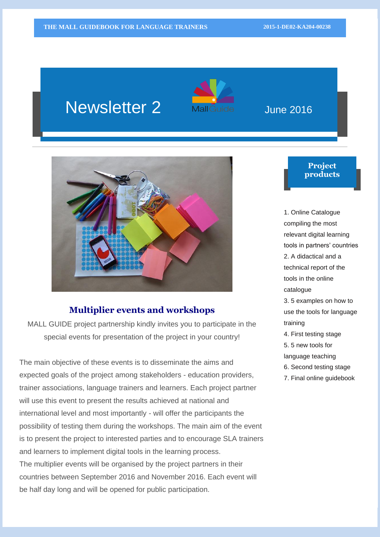# Newsletter 2 Malleuide June 2016





### **Multiplier events and workshops**

MALL GUIDE project partnership kindly invites you to participate in the special events for presentation of the project in your country!

The main objective of these events is to disseminate the aims and expected goals of the project among stakeholders - education providers, trainer associations, language trainers and learners. Each project partner will use this event to present the results achieved at national and international level and most importantly - will offer the participants the possibility of testing them during the workshops. The main aim of the event is to present the project to interested parties and to encourage SLA trainers and learners to implement digital tools in the learning process. The multiplier events will be organised by the project partners in their countries between September 2016 and November 2016. Each event will be half day long and will be opened for public participation.

#### **Project products**

1. Online Catalogue

compiling the most relevant digital learning tools in partners' countries 2. A didactical and a technical report of the tools in the online catalogue 3. 5 examples on how to use the tools for language

- training
- 4. First testing stage
- 5. 5 new tools for
- language teaching
- 6. Second testing stage
- 7. Final online guidebook